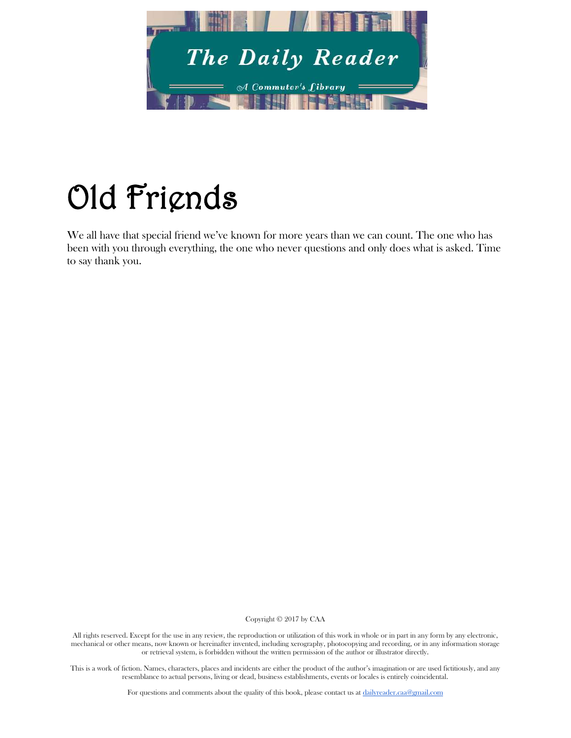

## Old Friends

We all have that special friend we've known for more years than we can count. The one who has been with you through everything, the one who never questions and only does what is asked. Time to say thank you.

Copyright © 2017 by CAA

All rights reserved. Except for the use in any review, the reproduction or utilization of this work in whole or in part in any form by any electronic, mechanical or other means, now known or hereinafter invented, including xerography, photocopying and recording, or in any information storage or retrieval system, is forbidden without the written permission of the author or illustrator directly.

This is a work of fiction. Names, characters, places and incidents are either the product of the author's imagination or are used fictitiously, and any resemblance to actual persons, living or dead, business establishments, events or locales is entirely coincidental.

For questions and comments about the quality of this book, please contact us at [dailyreader.caa@gmail.com](mailto:dailyreader.caa@gmail.com)